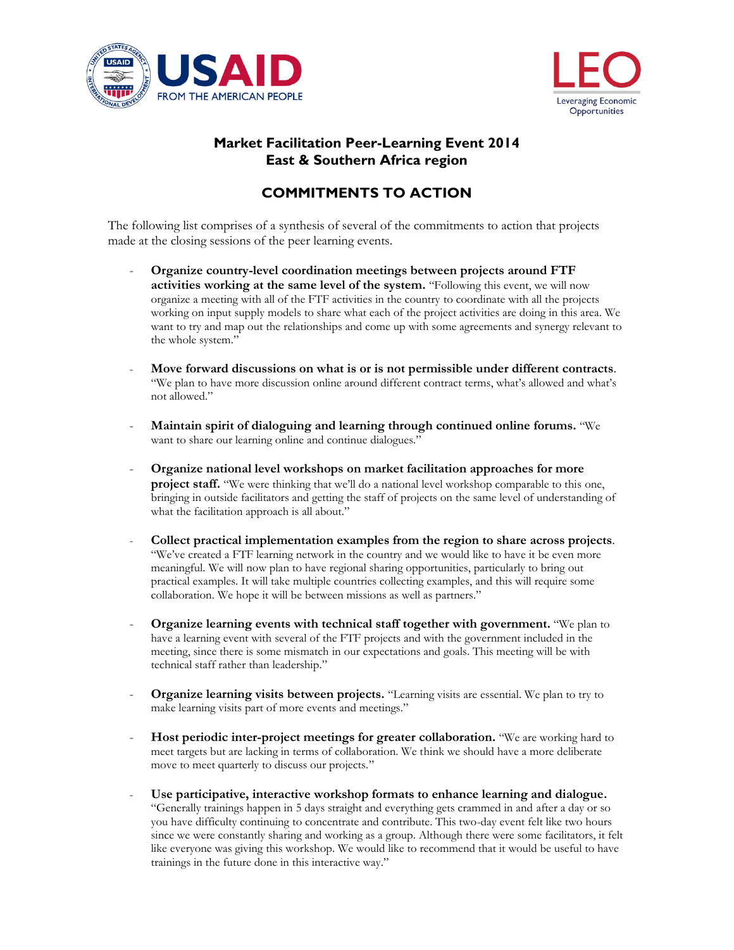



## **Market Facilitation Peer-Learning Event 2014 East & Southern Africa region**

## **COMMITMENTS TO ACTION**

The following list comprises of a synthesis of several of the commitments to action that projects made at the closing sessions of the peer learning events.

- **Organize country-level coordination meetings between projects around FTF activities working at the same level of the system.** "Following this event, we will now organize a meeting with all of the FTF activities in the country to coordinate with all the projects working on input supply models to share what each of the project activities are doing in this area. We want to try and map out the relationships and come up with some agreements and synergy relevant to the whole system."
- **Move forward discussions on what is or is not permissible under different contracts**. "We plan to have more discussion online around different contract terms, what's allowed and what's not allowed."
- **Maintain spirit of dialoguing and learning through continued online forums.** "We want to share our learning online and continue dialogues."
- **Organize national level workshops on market facilitation approaches for more project staff.** "We were thinking that we'll do a national level workshop comparable to this one, bringing in outside facilitators and getting the staff of projects on the same level of understanding of what the facilitation approach is all about."
- **Collect practical implementation examples from the region to share across projects**. "We've created a FTF learning network in the country and we would like to have it be even more meaningful. We will now plan to have regional sharing opportunities, particularly to bring out practical examples. It will take multiple countries collecting examples, and this will require some collaboration. We hope it will be between missions as well as partners."
- **Organize learning events with technical staff together with government.** "We plan to have a learning event with several of the FTF projects and with the government included in the meeting, since there is some mismatch in our expectations and goals. This meeting will be with technical staff rather than leadership."
- **Organize learning visits between projects.** "Learning visits are essential. We plan to try to make learning visits part of more events and meetings."
- Host periodic inter-project meetings for greater collaboration. "We are working hard to meet targets but are lacking in terms of collaboration. We think we should have a more deliberate move to meet quarterly to discuss our projects."
- **Use participative, interactive workshop formats to enhance learning and dialogue.** "Generally trainings happen in 5 days straight and everything gets crammed in and after a day or so you have difficulty continuing to concentrate and contribute. This two-day event felt like two hours since we were constantly sharing and working as a group. Although there were some facilitators, it felt like everyone was giving this workshop. We would like to recommend that it would be useful to have trainings in the future done in this interactive way."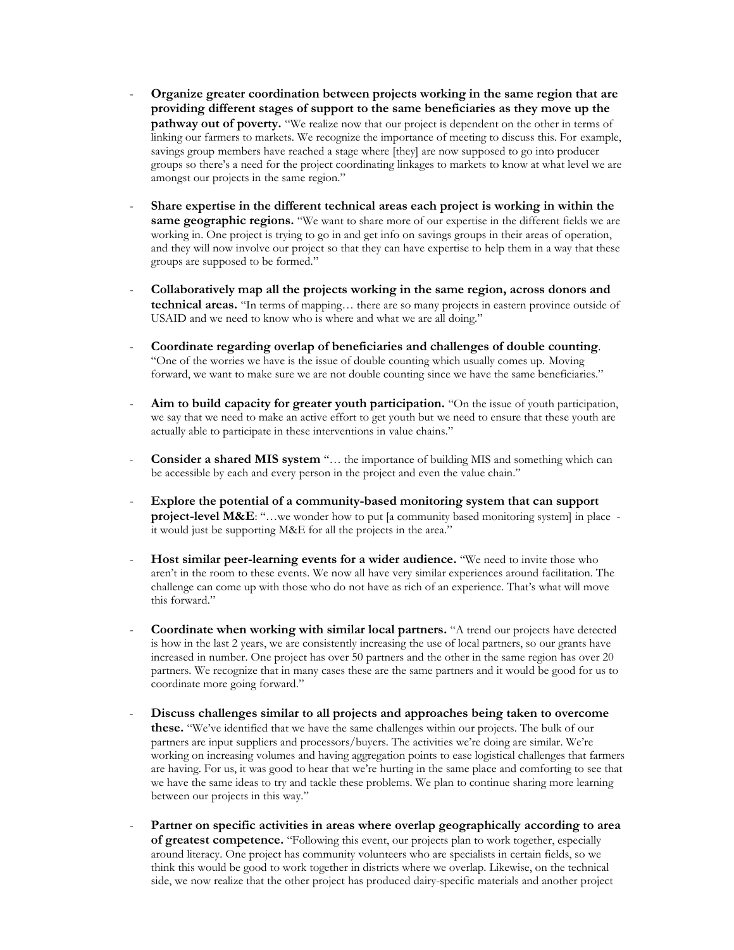- **Organize greater coordination between projects working in the same region that are providing different stages of support to the same beneficiaries as they move up the pathway out of poverty.** "We realize now that our project is dependent on the other in terms of linking our farmers to markets. We recognize the importance of meeting to discuss this. For example, savings group members have reached a stage where [they] are now supposed to go into producer groups so there's a need for the project coordinating linkages to markets to know at what level we are amongst our projects in the same region."
- **Share expertise in the different technical areas each project is working in within the same geographic regions.** "We want to share more of our expertise in the different fields we are working in. One project is trying to go in and get info on savings groups in their areas of operation, and they will now involve our project so that they can have expertise to help them in a way that these groups are supposed to be formed."
- **Collaboratively map all the projects working in the same region, across donors and technical areas.** "In terms of mapping… there are so many projects in eastern province outside of USAID and we need to know who is where and what we are all doing."
- **Coordinate regarding overlap of beneficiaries and challenges of double counting**. "One of the worries we have is the issue of double counting which usually comes up. Moving forward, we want to make sure we are not double counting since we have the same beneficiaries."
- Aim to build capacity for greater youth participation. "On the issue of youth participation, we say that we need to make an active effort to get youth but we need to ensure that these youth are actually able to participate in these interventions in value chains."
- **Consider a shared MIS system** "... the importance of building MIS and something which can be accessible by each and every person in the project and even the value chain."
- **Explore the potential of a community-based monitoring system that can support project-level M&E**: "...we wonder how to put [a community based monitoring system] in place it would just be supporting M&E for all the projects in the area."
- Host similar peer-learning events for a wider audience. "We need to invite those who aren't in the room to these events. We now all have very similar experiences around facilitation. The challenge can come up with those who do not have as rich of an experience. That's what will move this forward."
- **Coordinate when working with similar local partners.** "A trend our projects have detected is how in the last 2 years, we are consistently increasing the use of local partners, so our grants have increased in number. One project has over 50 partners and the other in the same region has over 20 partners. We recognize that in many cases these are the same partners and it would be good for us to coordinate more going forward."
- **Discuss challenges similar to all projects and approaches being taken to overcome these.** "We've identified that we have the same challenges within our projects. The bulk of our partners are input suppliers and processors/buyers. The activities we're doing are similar. We're working on increasing volumes and having aggregation points to ease logistical challenges that farmers are having. For us, it was good to hear that we're hurting in the same place and comforting to see that we have the same ideas to try and tackle these problems. We plan to continue sharing more learning between our projects in this way."
- **Partner on specific activities in areas where overlap geographically according to area of greatest competence.** "Following this event, our projects plan to work together, especially around literacy. One project has community volunteers who are specialists in certain fields, so we think this would be good to work together in districts where we overlap. Likewise, on the technical side, we now realize that the other project has produced dairy-specific materials and another project